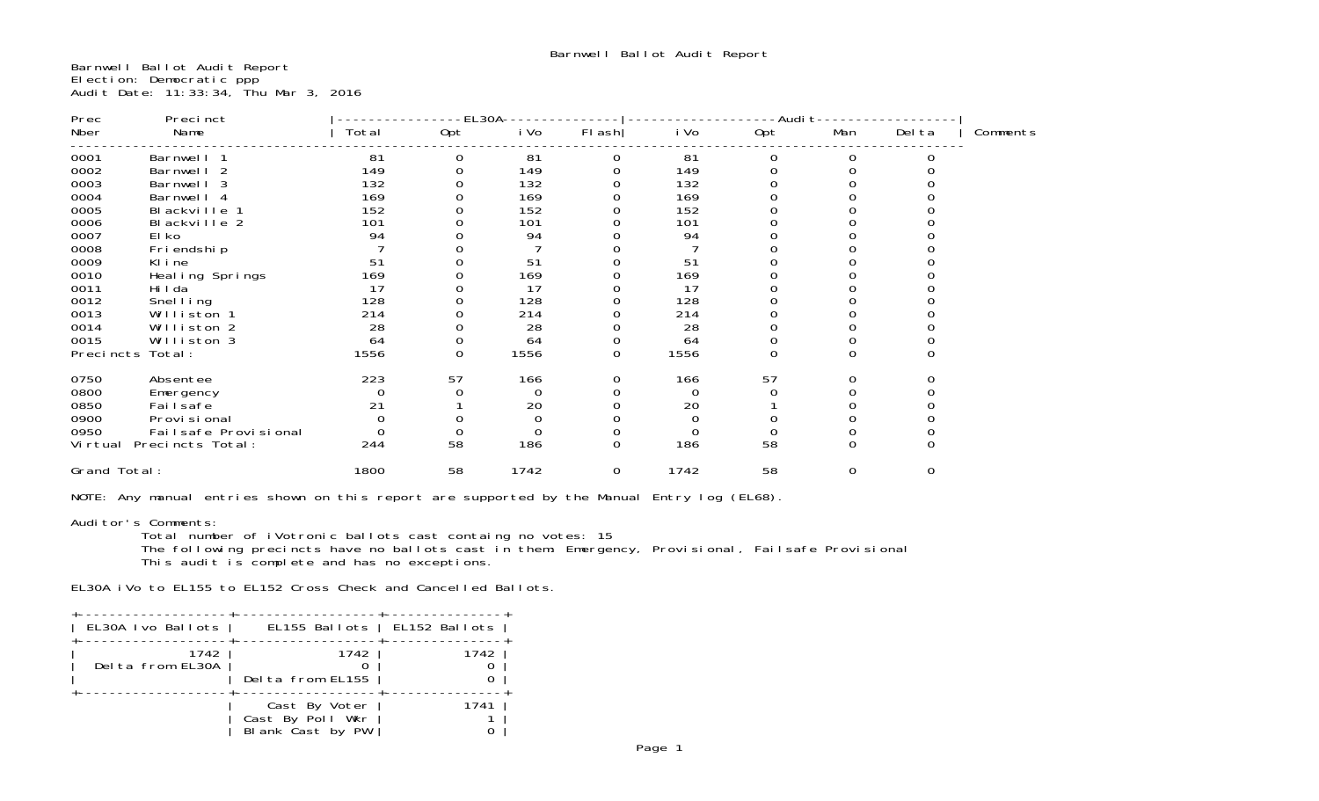Barnwell Ballot Audit Report Election: Democratic ppp Audit Date: 11:33:34, Thu Mar 3, 2016

| Prec         | Precinct                 |       | $-EL30A$ |          |                  |          | -Audit         |                |             |          |
|--------------|--------------------------|-------|----------|----------|------------------|----------|----------------|----------------|-------------|----------|
| Nber         | Name                     | Total | Opt      | i Vo     | $FI$ ash         | i Vo     | Opt            | Man            | Del ta      | Comments |
| 0001         | Barnwell 1               | 81    | 0        | 81       | 0                | 81       | 0              | $\mathbf 0$    |             |          |
| 0002         | Barnwell 2               | 149   |          | 149      | 0                | 149      | 0              | $\Omega$       |             |          |
| 0003         | Barnwell 3               | 132   |          | 132      |                  | 132      |                |                |             |          |
| 0004         | Barnwell 4               | 169   |          | 169      |                  | 169      |                |                |             |          |
| 0005         | Blackville 1             | 152   |          | 152      |                  | 152      |                |                |             |          |
| 0006         | Blackville 2             | 101   |          | 101      |                  | 101      |                |                |             |          |
| 0007         | El ko                    | 94    |          | 94       |                  | 94       |                |                |             |          |
| 0008         | Fri endshi p             |       |          |          |                  |          | $\Omega$       |                |             |          |
| 0009         | Kline                    | 51    |          | 51       |                  | 51       |                |                |             |          |
| 0010         | Heal ing Springs         | 169   |          | 169      |                  | 169      |                |                |             |          |
| 0011         | Hi I da                  | 17    |          | 17       | 0                | 17       | 0              | 0              |             |          |
| 0012         | Snel I ing               | 128   |          | 128      |                  | 128      |                |                |             |          |
| 0013         | Williston 1              | 214   |          | 214      |                  | 214      | $\overline{O}$ |                |             |          |
| 0014         | Williston 2              | 28    |          | 28       | 0                | 28       | 0              | $\Omega$       |             |          |
| 0015         | Williston 3              | 64    | 0        | 64       | $\mathbf 0$      | 64       | $\mathbf 0$    | $\mathbf 0$    |             |          |
| Precincts    | Total:                   | 1556  | $\Omega$ | 1556     | 0                | 1556     | $\Omega$       | $\Omega$       | $\Omega$    |          |
| 0750         | Absentee                 | 223   | 57       | 166      | 0                | 166      | 57             | 0              | 0           |          |
| 0800         | Emergency                |       |          | $\Omega$ | $\Omega$         | $\Omega$ |                | $\Omega$       |             |          |
| 0850         | Failsafe                 | 21    |          | 20       |                  | 20       |                |                |             |          |
| 0900         | Provi si onal            |       |          |          |                  | $\Omega$ |                |                |             |          |
| 0950         | Failsafe Provisional     |       | $\Omega$ |          | $\mathbf 0$      | $\Omega$ | $\Omega$       | $\mathbf 0$    |             |          |
|              | Virtual Precincts Total: | 244   | 58       | 186      | $\boldsymbol{0}$ | 186      | 58             | $\overline{0}$ | $\Omega$    |          |
| Grand Total: |                          | 1800  | 58       | 1742     | $\mathbf 0$      | 1742     | 58             | $\mathbf 0$    | $\mathbf 0$ |          |

NOTE: Any manual entries shown on this report are supported by the Manual Entry log (EL68).

Auditor's Comments: Total number of iVotronic ballots cast containg no votes: 15

 The following precincts have no ballots cast in them: Emergency, Provisional, Failsafe Provisional This audit is complete and has no exceptions.

EL30A iVo to EL155 to EL152 Cross Check and Cancelled Ballots.

| EL30A Ivo Ballots        | EL155 Ballots   EL152 Ballots                         |      |
|--------------------------|-------------------------------------------------------|------|
| 1742<br>Delta from EL30A | 1742<br>Delta from EL155                              | 1742 |
|                          | Cast By Voter<br>Cast By Poll Wkr<br>Blank Cast by PW | 1741 |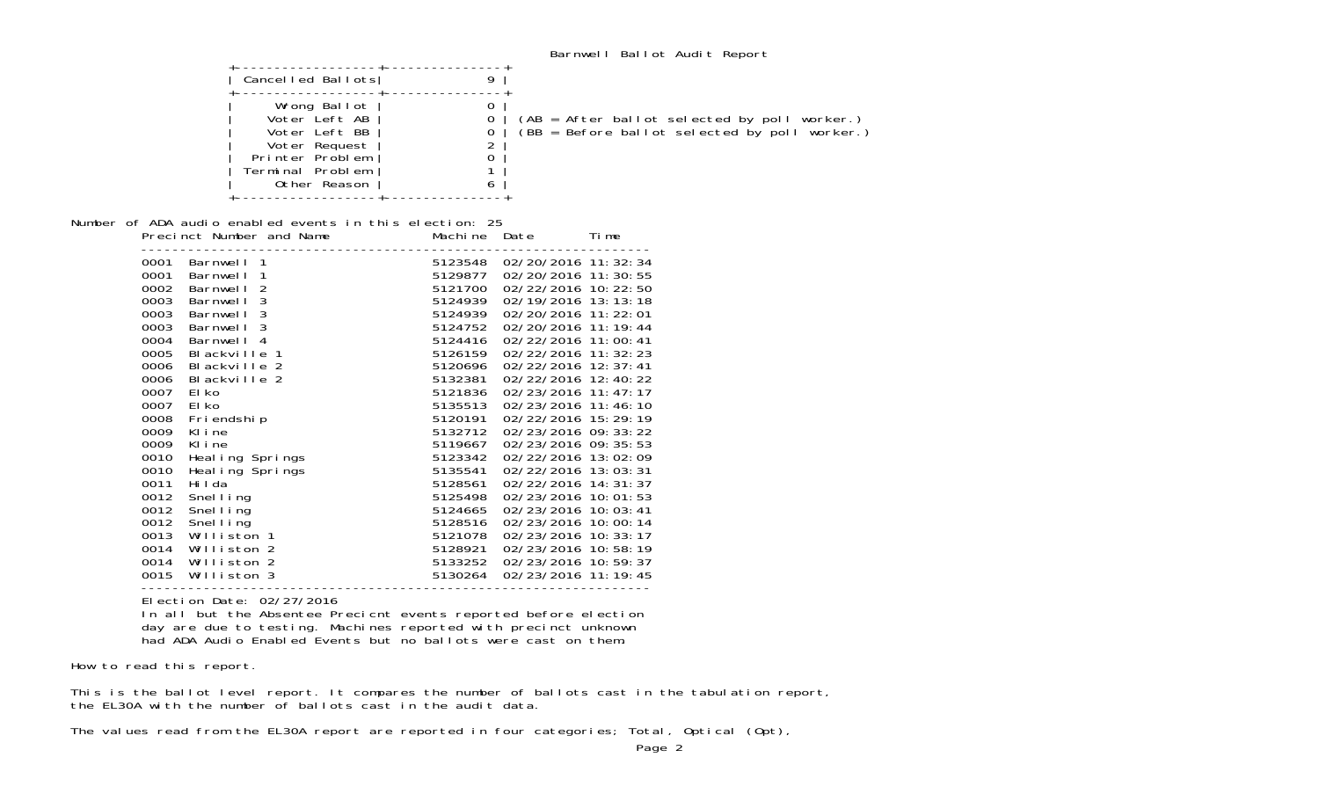|                                          |                                                                                                                        |                                   | Barnwell Ballot Audit Report                                                                    |
|------------------------------------------|------------------------------------------------------------------------------------------------------------------------|-----------------------------------|-------------------------------------------------------------------------------------------------|
|                                          | Cancelled Ballots                                                                                                      | 9                                 |                                                                                                 |
|                                          | Wrong Ballot<br>Voter Left AB<br>Voter Left BB<br>Voter Request<br>Printer Problem<br>Terminal Problem<br>Other Reason | 0<br>0<br>0<br>∠<br>$\Omega$<br>ь | $(AB = After ballot selected by poll worker.)$<br>(BB = Before ballot selected by poll worker.) |
|                                          | Number of ADA audio enabled events in this election: 25<br>Precinct Number and Name                                    | Machine Date                      | Time                                                                                            |
| 0001<br>Barnwell 1<br>0001<br>Barnwell 1 |                                                                                                                        | 5123548<br>5129877                | 02/20/2016 11:32:34<br>02/20/2016 11:30:55                                                      |

| 0001 | Barnwell 1                    | 5123548 | 02/20/2016 11:32:34   |
|------|-------------------------------|---------|-----------------------|
| 0001 | Barnwell 1                    | 5129877 | 02/20/2016 11:30:55   |
| 0002 | 2<br>Barnwell                 | 5121700 | 02/22/2016 10: 22: 50 |
| 0003 | 3<br>Barnwell                 | 5124939 | 02/19/2016 13:13:18   |
| 0003 | 3<br>Barnwell                 | 5124939 | 02/20/2016 11: 22: 01 |
| 0003 | 3<br>Barnwell                 | 5124752 | 02/20/2016 11: 19: 44 |
| 0004 | Barnwell 4                    | 5124416 | 02/22/2016 11:00:41   |
| 0005 | BI ackville<br>$\overline{1}$ | 5126159 | 02/22/2016 11: 32: 23 |
| 0006 | Blackville 2                  | 5120696 | 02/22/2016 12:37:41   |
| 0006 | Blackville 2                  | 5132381 | 02/22/2016 12:40:22   |
| 0007 | El ko                         | 5121836 | 02/23/2016 11:47:17   |
| 0007 | El ko                         | 5135513 | 02/23/2016 11:46:10   |
| 0008 | Fri endshi p                  | 5120191 | 02/22/2016 15:29:19   |
| 0009 | Kline                         | 5132712 | 02/23/2016 09: 33: 22 |
| 0009 | Kline                         | 5119667 | 02/23/2016 09: 35: 53 |
| 0010 | Heal ing Springs              | 5123342 | 02/22/2016 13:02:09   |
| 0010 | Heal ing Springs              | 5135541 | 02/22/2016 13:03:31   |
| 0011 | Hi I da                       | 5128561 | 02/22/2016 14: 31: 37 |
| 0012 | Snel I ing                    | 5125498 | 02/23/2016 10:01:53   |
| 0012 | Snel I i ng                   | 5124665 | 02/23/2016 10: 03: 41 |
| 0012 | Snel I i ng                   | 5128516 | 02/23/2016 10:00:14   |
| 0013 | Williston 1                   | 5121078 | 02/23/2016 10: 33: 17 |
| 0014 | Williston 2                   | 5128921 | 02/23/2016 10:58:19   |
| 0014 | Williston 2                   | 5133252 | 02/23/2016 10:59:37   |
| 0015 | Williston 3                   | 5130264 | 02/23/2016 11:19:45   |

Election Date: 02/27/2016

In all but the Absentee Precicnt events reported before election day are due to testing. Machines reported with precinct unknown had ADA Audio Enabled Events but no ballots were cast on them.

-----------------------------------------------------------------

How to read this report.

This is the ballot level report. It compares the number of ballots cast in the tabulation report, the EL30A with the number of ballots cast in the audit data.

The values read from the EL30A report are reported in four categories; Total, Optical (Opt),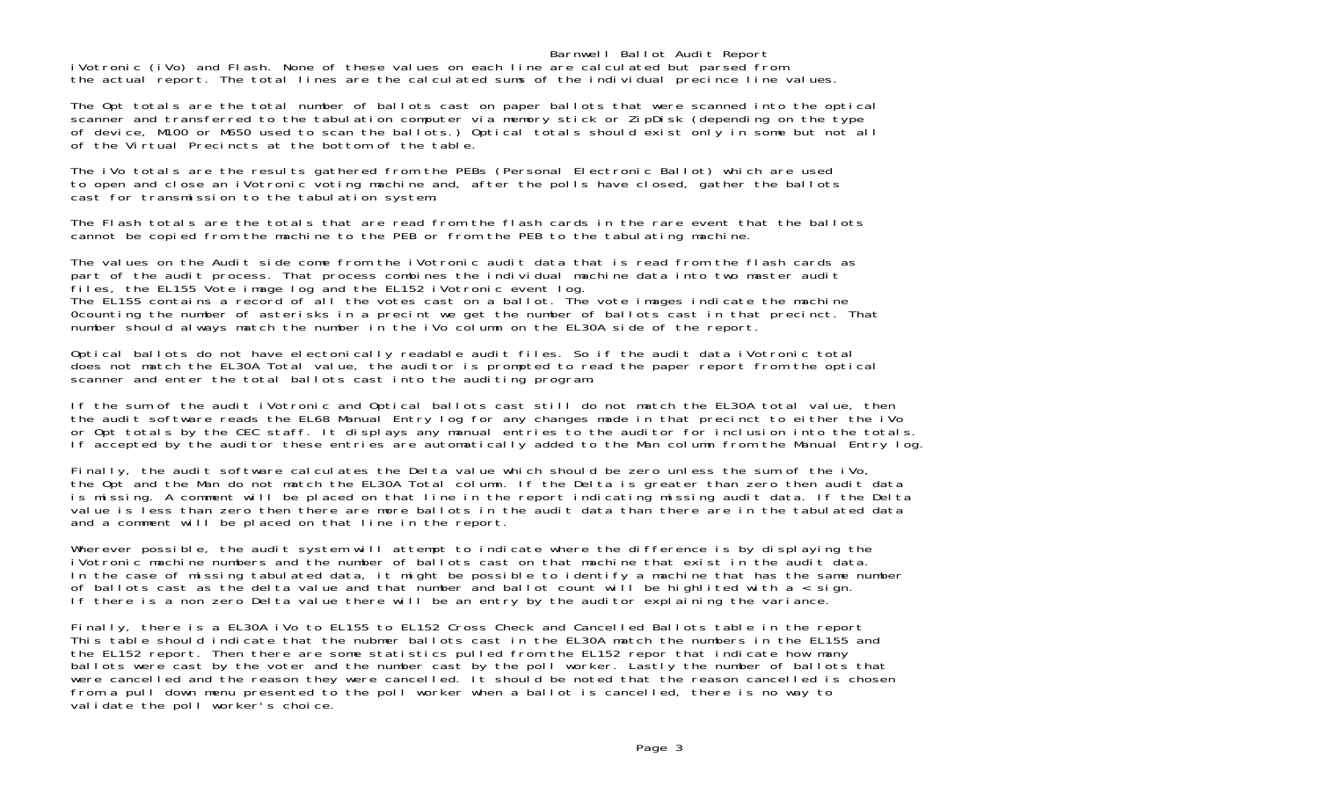#### Barnwell Ballot Audit Report

iVotronic (iVo) and Flash. None of these values on each line are calculated but parsed from the actual report. The total lines are the calculated sums of the individual precince line values.

The Opt totals are the total number of ballots cast on paper ballots that were scanned into the optical scanner and transferred to the tabulation computer via memory stick or ZipDisk (depending on the type of device, M100 or M650 used to scan the ballots.) Optical totals should exist only in some but not all of the Virtual Precincts at the bottom of the table.

The iVo totals are the results gathered from the PEBs (Personal Electronic Ballot) which are used to open and close an iVotronic voting machine and, after the polls have closed, gather the ballots cast for transmission to the tabulation system.

The Flash totals are the totals that are read from the flash cards in the rare event that the ballotscannot be copied from the machine to the PEB or from the PEB to the tabulating machine.

The values on the Audit side come from the iVotronic audit data that is read from the flash cards as part of the audit process. That process combines the individual machine data into two master audit files, the EL155 Vote image log and the EL152 iVotronic event log. The EL155 contains a record of all the votes cast on a ballot. The vote images indicate the machine 0counting the number of asterisks in a precint we get the number of ballots cast in that precinct. That number should always match the number in the iVo column on the EL30A side of the report.

Optical ballots do not have electonically readable audit files. So if the audit data iVotronic total does not match the EL30A Total value, the auditor is prompted to read the paper report from the optical scanner and enter the total ballots cast into the auditing program.

If the sum of the audit iVotronic and Optical ballots cast still do not match the EL30A total value, then the audit software reads the EL68 Manual Entry log for any changes made in that precinct to either the iVo or Opt totals by the CEC staff. It displays any manual entries to the auditor for inclusion into the totals. If accepted by the auditor these entries are automatically added to the Man column from the Manual Entry log.

Finally, the audit software calculates the Delta value which should be zero unless the sum of the iVo, the Opt and the Man do not match the EL30A Total column. If the Delta is greater than zero then audit data is missing. A comment will be placed on that line in the report indicating missing audit data. If the Delta value is less than zero then there are more ballots in the audit data than there are in the tabulated data and a comment will be placed on that line in the report.

Wherever possible, the audit system will attempt to indicate where the difference is by displaying the iVotronic machine numbers and the number of ballots cast on that machine that exist in the audit data In the case of missing tabulated data, it might be possible to identify a machine that has the same number of ballots cast as the delta value and that number and ballot count will be highlited with a < sign. If there is a non zero Delta value there will be an entry by the auditor explaining the variance.

Finally, there is a EL30A iVo to EL155 to EL152 Cross Check and Cancelled Ballots table in the report This table should indicate that the nubmer ballots cast in the EL30A match the numbers in the EL155 and the EL152 report. Then there are some statistics pulled from the EL152 repor that indicate how many ballots were cast by the voter and the number cast by the poll worker. Lastly the number of ballots that were cancelled and the reason they were cancelled. It should be noted that the reason cancelled is chosen from a pull down menu presented to the poll worker when a ballot is cancelled, there is no way to validate the poll worker's choice.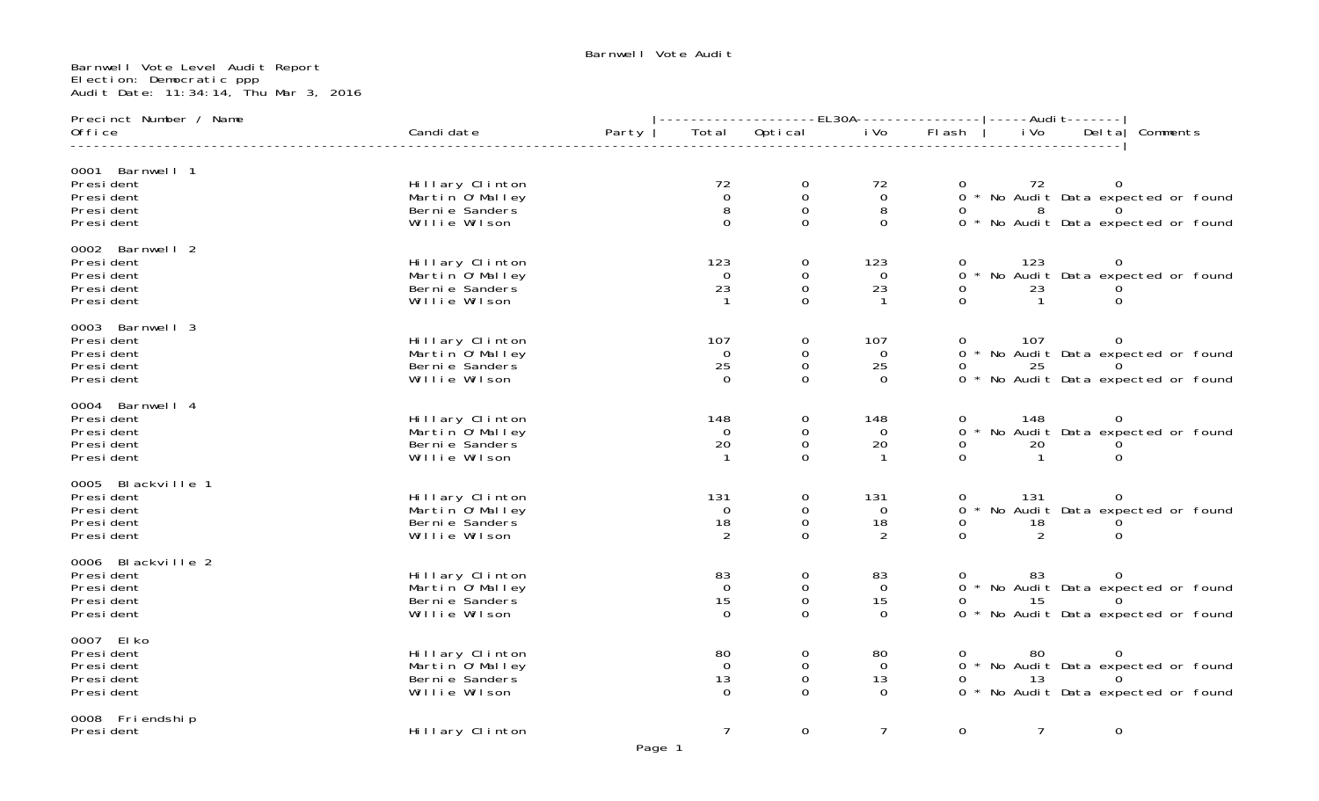## Barnwell Vote Level Audit Report Election: Democratic ppp Audit Date: 11:34:14, Thu Mar 3, 2016

| Precinct Number / Name                                                    |                                                                         |       |                                            | --------------EL30A---------------- ----Audit-------               |                                     |                                      |                  |                            |                                                                                      |  |
|---------------------------------------------------------------------------|-------------------------------------------------------------------------|-------|--------------------------------------------|--------------------------------------------------------------------|-------------------------------------|--------------------------------------|------------------|----------------------------|--------------------------------------------------------------------------------------|--|
| Office                                                                    | Candi date                                                              | Party | Total                                      | Optical                                                            | i Vo                                | FI ash                               | i Vo             | Del ta                     | Comments                                                                             |  |
| 0001 Barnwell 1<br>Presi dent<br>Presi dent<br>Presi dent<br>Presi dent   | Hillary Clinton<br>Martin 0' Malley<br>Berni e Sanders<br>Willie Wilson |       | 72<br>$\mathsf{O}\xspace$<br>8<br>$\Omega$ | $\begin{matrix} 0 \\ 0 \end{matrix}$<br>$\mathbf 0$<br>$\mathbf 0$ | 72<br>$\mathbf 0$<br>8<br>$\Omega$  |                                      |                  |                            | 0 72 0<br>0 * No Audit Data expected or found<br>0 * No Audit Data expected or found |  |
| 0002 Barnwell 2<br>Presi dent<br>Presi dent<br>Presi dent<br>Presi dent   | Hillary Clinton<br>Martin O'Malley<br>Berni e Sanders<br>Willie Wilson  |       | 123<br>$\Omega$<br>23                      | $\mathbf 0$<br>$\mathbf 0$<br>$\boldsymbol{0}$<br>$\Omega$         | 123<br>0<br>23                      | 0<br>$\overline{O}$<br>0<br>$\Omega$ | 123<br>23        | $\mathbf{0}$<br>$\Omega$   | * No Audit Data expected or found                                                    |  |
| 0003 Barnwell 3<br>Presi dent<br>Presi dent<br>Presi dent<br>Presi dent   | Hillary Clinton<br>Martin 0' Malley<br>Berni e Sanders<br>Willie Wilson |       | 107<br>$\Omega$<br>25<br>$\Omega$          | $\mathbf 0$<br>$\mathbf 0$<br>$\mathbf 0$<br>$\Omega$              | 107<br>$\Omega$<br>25<br>$\Omega$   | $\mathbf{O}$<br>0                    | 107<br>25        | $\overline{0}$             | 0 * No Audit Data expected or found<br>0 * No Audit Data expected or found           |  |
| 0004 Barnwell 4<br>Presi dent<br>Presi dent<br>Presi dent<br>Presi dent   | Hillary Clinton<br>Martin 0'Malley<br>Berni e Sanders<br>Willie Wilson  |       | 148<br>$\Omega$<br>20                      | 0<br>$\mathbf 0$<br>0<br>$\Omega$                                  | 148<br>$\Omega$<br>20               | 0<br>$\Omega$<br>0<br>$\Omega$       | 148<br>20<br>-1. | 0<br>$\Omega$              | * No Audit Data expected or found                                                    |  |
| 0005 Blackville 1<br>Presi dent<br>Presi dent<br>Presi dent<br>Presi dent | Hillary Clinton<br>Martin O'Malley<br>Berni e Sanders<br>Willie Wilson  |       | 131<br>$\overline{0}$<br>18<br>2           | $\mathbf 0$<br>$\mathbf 0$<br>$\mathbf 0$<br>$\Omega$              | 131<br>$\mathbf{O}$<br>18<br>2      | 0<br>0<br>0<br>$\Omega$              | 131<br>18<br>2   | $\overline{0}$<br>$\Omega$ | * No Audit Data expected or found                                                    |  |
| 0006 Blackville 2<br>Presi dent<br>Presi dent<br>Presi dent<br>Presi dent | Hillary Clinton<br>Martin O'Malley<br>Berni e Sanders<br>Willie Wilson  |       | 83<br>$\mathbf 0$<br>15<br>$\Omega$        | $\mathbf 0$<br>$\mathbf 0$<br>$\boldsymbol{0}$<br>$\Omega$         | 83<br>$\mathbf 0$<br>15<br>$\Omega$ | 0<br>0                               | 83<br>15         | $\overline{0}$<br>$\Omega$ | 0 * No Audit Data expected or found<br>0 * No Audit Data expected or found           |  |
| 0007 El ko<br>Presi dent<br>Presi dent<br>Presi dent<br>Presi dent        | Hillary Clinton<br>Martin O'Malley<br>Berni e Sanders<br>Willie Wilson  |       | 80<br>$\Omega$<br>13<br>$\Omega$           | 0<br>$\mathbf 0$<br>$\mathbf 0$<br>$\Omega$                        | 80<br>$\Omega$<br>13<br>$\Omega$    |                                      | 80<br>13         |                            | 0 * No Audit Data expected or found<br>0 * No Audit Data expected or found           |  |
| 0008 Friendship<br>President                                              | Hillary Clinton                                                         |       | $\overline{7}$                             | $\mathbf 0$                                                        | $\overline{7}$                      | 0                                    | $\overline{7}$   | $\mathbf 0$                |                                                                                      |  |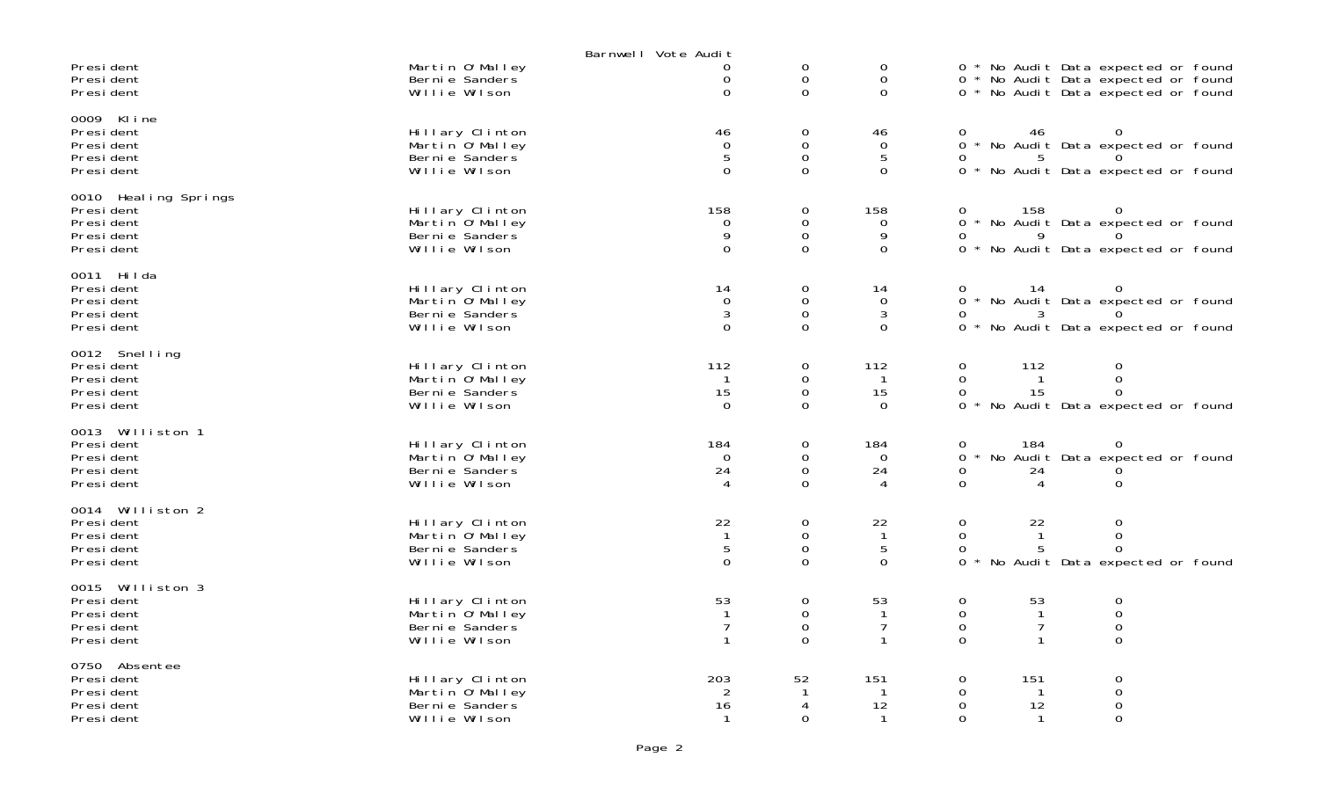|                                                                               |                                                                         | Barnwell Vote Audit                         |                                                         |                                                        |                             |                                                                                                                   |  |
|-------------------------------------------------------------------------------|-------------------------------------------------------------------------|---------------------------------------------|---------------------------------------------------------|--------------------------------------------------------|-----------------------------|-------------------------------------------------------------------------------------------------------------------|--|
| Presi dent<br>Presi dent<br>Presi dent                                        | Martin O'Malley<br>Berni e Sanders<br>Willie Wilson                     | 0<br>0<br>$\Omega$                          | 0<br>$\mathbf 0$<br>$\Omega$                            | $\mathbf 0$<br>0<br>$\Omega$                           |                             | 0 * No Audit Data expected or found<br>0 * No Audit Data expected or found<br>0 * No Audit Data expected or found |  |
| 0009 Kline<br>Presi dent<br>Presi dent<br>Presi dent<br>Presi dent            | Hillary Clinton<br>Martin 0'Malley<br>Berni e Sanders<br>Willie Wilson  | 46<br>0<br>5<br>$\Omega$                    | 0<br>$\mathsf{O}\xspace$<br>$\mathbf 0$<br>$\Omega$     | 46<br>$\overline{0}$<br>5<br>$\Omega$                  | 0<br>0                      | 46<br>0 * No Audit Data expected or found<br>.5<br>0 * No Audit Data expected or found                            |  |
| 0010 Heal ing Springs<br>Presi dent<br>Presi dent<br>Presi dent<br>Presi dent | Hillary Clinton<br>Martin O'Malley<br>Berni e Sanders<br>Willie Wilson  | 158<br>0<br>9<br>$\Omega$                   | 0<br>$\mathsf{O}$<br>$\mathsf{O}\xspace$<br>$\mathbf 0$ | 158<br>$\Omega$<br>9<br>$\Omega$                       | 0<br>0                      | 158<br>$\mathbf{O}$<br>0 * No Audit Data expected or found<br>9<br>0 * No Audit Data expected or found            |  |
| 0011 Hilda<br>Presi dent<br>Presi dent<br>Presi dent<br>Presi dent            | Hillary Clinton<br>Martin 0'Malley<br>Berni e Sanders<br>Willie Wilson  | 14<br>$\mathbf 0$<br>3<br>$\Omega$          | 0<br>$\mathsf 0$<br>$\overline{0}$<br>$\Omega$          | 14<br>$\overline{0}$<br>$\mathbf{3}$<br>$\overline{0}$ | 0<br>0                      | 14<br>0<br>0 * No Audit Data expected or found<br>0 * No Audit Data expected or found                             |  |
| 0012 Snelling<br>President<br>Presi dent<br>Presi dent<br>Presi dent          | Hillary Clinton<br>Martin 0' Malley<br>Berni e Sanders<br>Willie Wilson | 112<br>$\mathbf{1}$<br>15<br>$\Omega$       | 0<br>$\mathbf 0$<br>$\mathsf{O}\xspace$<br>$\Omega$     | 112<br>$\mathbf{1}$<br>15<br>$\Omega$                  | 0<br>0<br>0<br>$\Omega$     | 112<br>0<br>$\mathbf 0$<br>$\mathbf{1}$<br>15<br>$\Omega$<br>No Audit Data expected or found                      |  |
| 0013 Williston 1<br>Presi dent<br>Presi dent<br>Presi dent<br>Presi dent      | Hillary Clinton<br>Martin O'Malley<br>Berni e Sanders<br>Willie Wilson  | 184<br>$\Omega$<br>24<br>$\overline{4}$     | $\mathbf 0$<br>$\mathbf 0$<br>$\mathbf 0$<br>$\Omega$   | 184<br>$\overline{0}$<br>24<br>4                       | 0<br>0<br>0<br>$\mathsf{O}$ | 184<br>0<br>* No Audit Data expected or found<br>24<br>$\mathbf 0$<br>4                                           |  |
| 0014 Williston 2<br>Presi dent<br>Presi dent<br>President<br>Presi dent       | Hillary Clinton<br>Martin O'Malley<br>Berni e Sanders<br>Willie Wilson  | 22<br>$\overline{1}$<br>5<br>$\Omega$       | 0<br>$\mathsf{O}\xspace$<br>$\mathbf 0$<br>$\Omega$     | 22<br>$\overline{1}$<br>5<br>$\Omega$                  | 0<br>0<br>0<br>$\Omega$     | 22<br>0<br>$\mathbf 0$<br>$\mathbf{1}$<br>5<br>$\Omega$<br>No Audit Data expected or found                        |  |
| 0015 Williston 3<br>Presi dent<br>Presi dent<br>Presi dent<br>Presi dent      | Hillary Clinton<br>Martin O'Malley<br>Berni e Sanders<br>Willie Wilson  | 53<br>$\overline{7}$<br>$\mathbf{1}$        | $\mathsf{O}\xspace$<br>0<br>$\mathbf 0$<br>$\Omega$     | 53<br>$\mathbf{1}$<br>$\overline{7}$<br>$\mathbf{1}$   | 0<br>0<br>0<br>$\Omega$     | 53<br>$\mathbf 0$<br>$\mathbf 0$<br>$\mathbf{1}$<br>$\overline{7}$<br>$\mathbf 0$<br>$\overline{O}$               |  |
| 0750 Absentee<br>Presi dent<br>Presi dent<br>Presi dent<br>Presi dent         | Hillary Clinton<br>Martin O'Malley<br>Bernie Sanders<br>Willie Wilson   | 203<br>$\overline{2}$<br>16<br>$\mathbf{1}$ | 52<br>-1<br>4<br>$\Omega$                               | 151<br>-1<br>12<br>$\mathbf{1}$                        | 0<br>0<br>0<br>0            | 151<br>0<br>$\mathsf{O}\xspace$<br>1<br>$\mathsf{O}\xspace$<br>12<br>0<br>$\mathbf{1}$                            |  |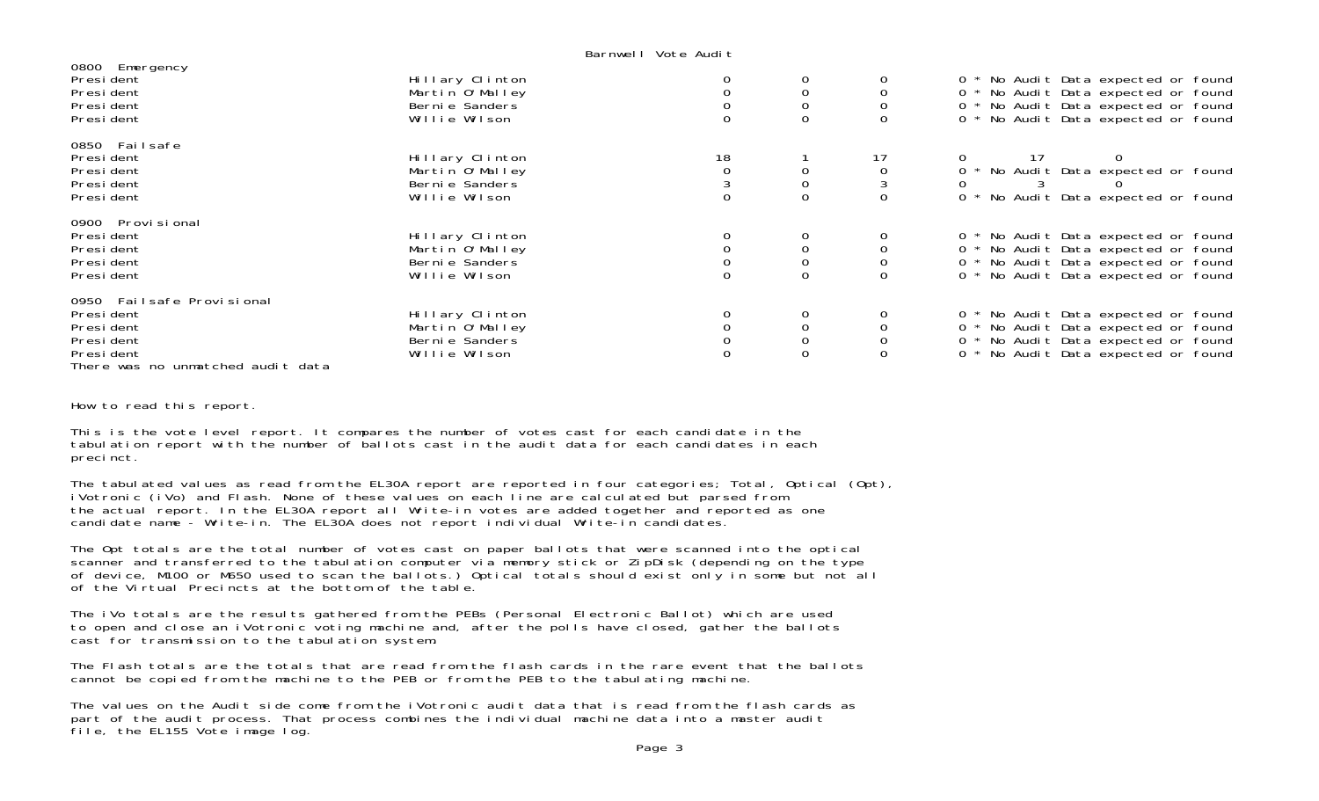Barnwell Vote Audit

| 0800 Emergency<br>President<br>President<br>President<br>President                                                 | Hillary Clinton<br>Martin 0'Malley<br>Bernie Sanders<br>Willie Wilson  |    | $\mathbf 0$                | 0 * No Audit Data expected or found<br>0 * No Audit Data expected or found<br>0 * No Audit Data expected or found<br>0 * No Audit Data expected or found      |
|--------------------------------------------------------------------------------------------------------------------|------------------------------------------------------------------------|----|----------------------------|---------------------------------------------------------------------------------------------------------------------------------------------------------------|
| 0850 Failsafe<br>President<br>President<br>President<br>President                                                  | Hillary Clinton<br>Martin 0'Malley<br>Berni e Sanders<br>Willie Wilson | 18 | $\mathbf 0$                | 0 * No Audit Data expected or found<br>0 * No Audit Data expected or found                                                                                    |
| 0900 Provi si onal<br>President<br>President<br>President<br>President                                             | Hillary Clinton<br>Martin 0'Malley<br>Berni e Sanders<br>Willie Wilson |    |                            | 0 * No Audit Data expected or found<br>0 * No Audit Data expected or found<br>0 * No Audit Data expected or found<br>0 * No Audit Data expected or found      |
| 0950 Failsafe Provisional<br>President<br>President<br>President<br>President<br>There was no unmatched audit data | Hillary Clinton<br>Martin O'Malley<br>Berni e Sanders<br>Willie Wilson |    | $\mathbf 0$<br>$\mathbf 0$ | 0 * No Audit Data expected or found<br>No Audit Data expected or found<br>$0 *$<br>0 * No Audit Data expected or found<br>0 * No Audit Data expected or found |

How to read this report.

This is the vote level report. It compares the number of votes cast for each candidate in the tabulation report with the number of ballots cast in the audit data for each candidates in each precinct.

The tabulated values as read from the EL30A report are reported in four categories; Total, Optical (Opt), iVotronic (iVo) and Flash. None of these values on each line are calculated but parsed from the actual report. In the EL30A report all Write-in votes are added together and reported as one candidate name - Write-in. The EL30A does not report individual Write-in candidates.

The Opt totals are the total number of votes cast on paper ballots that were scanned into the optical scanner and transferred to the tabulation computer via memory stick or ZipDisk (depending on the type of device, M100 or M650 used to scan the ballots.) Optical totals should exist only in some but not all of the Virtual Precincts at the bottom of the table.

The iVo totals are the results gathered from the PEBs (Personal Electronic Ballot) which are used to open and close an iVotronic voting machine and, after the polls have closed, gather the ballots cast for transmission to the tabulation system.

The Flash totals are the totals that are read from the flash cards in the rare event that the ballots cannot be copied from the machine to the PEB or from the PEB to the tabulating machine.

The values on the Audit side come from the iVotronic audit data that is read from the flash cards as part of the audit process. That process combines the individual machine data into a master audit file, the EL155 Vote image log.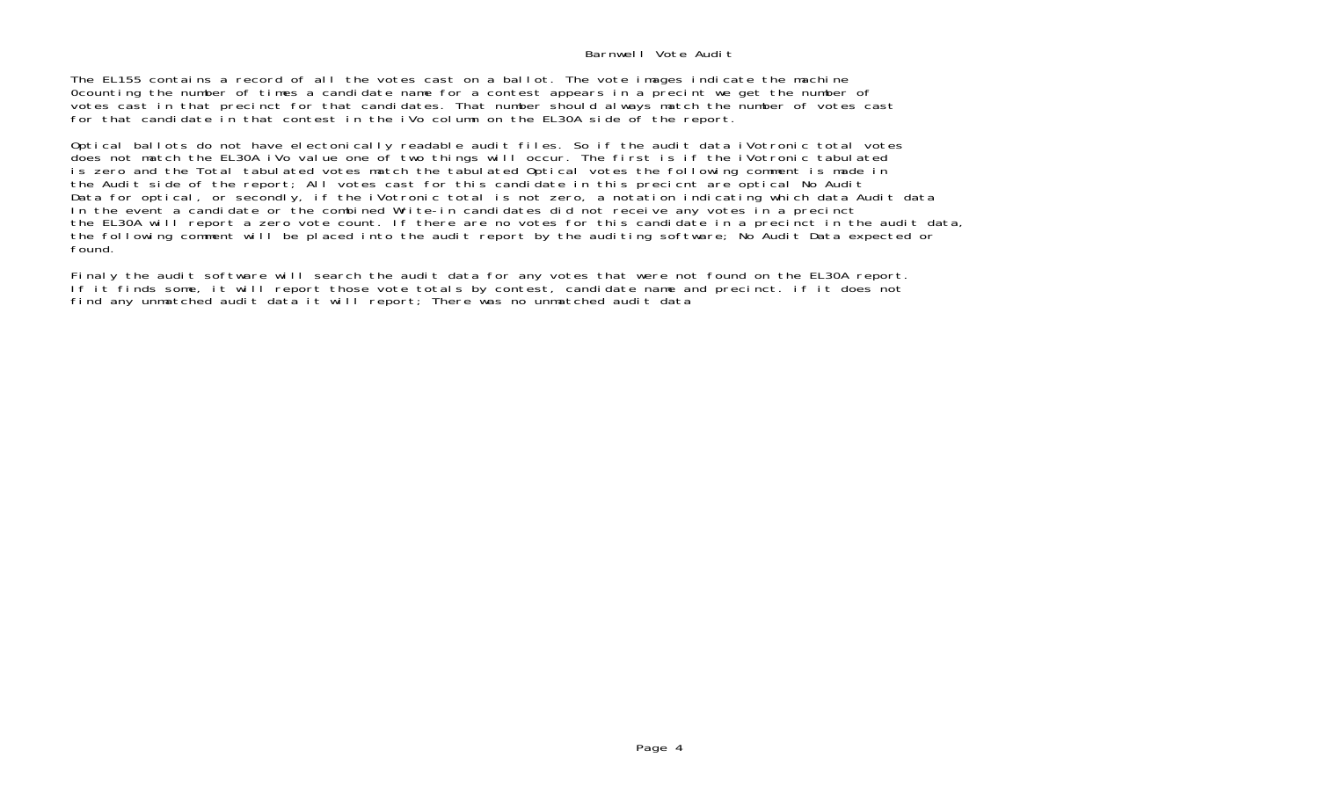## Barnwell Vote Audit

The EL155 contains a record of all the votes cast on a ballot. The vote images indicate the machine 0counting the number of times a candidate name for a contest appears in a precint we get the number of votes cast in that precinct for that candidates. That number should always match the number of votes cast for that candidate in that contest in the iVo column on the EL30A side of the report.

Optical ballots do not have electonically readable audit files. So if the audit data iVotronic total votes does not match the EL30A iVo value one of two things will occur. The first is if the iVotronic tabulated is zero and the Total tabulated votes match the tabulated Optical votes the following comment is made in the Audit side of the report; All votes cast for this candidate in this precicnt are optical No Audit Data for optical, or secondly, if the iVotronic total is not zero, a notation indicating which data Audit data In the event a candidate or the combined Write-in candidates did not receive any votes in a precinct the EL30A will report a zero vote count. If there are no votes for this candidate in a precinct in the audit data, the following comment will be placed into the audit report by the auditing software; No Audit Data expected or found.

Finaly the audit software will search the audit data for any votes that were not found on the EL30A report. If it finds some, it will report those vote totals by contest, candidate name and precinct. if it does not find any unmatched audit data it will report; There was no unmatched audit data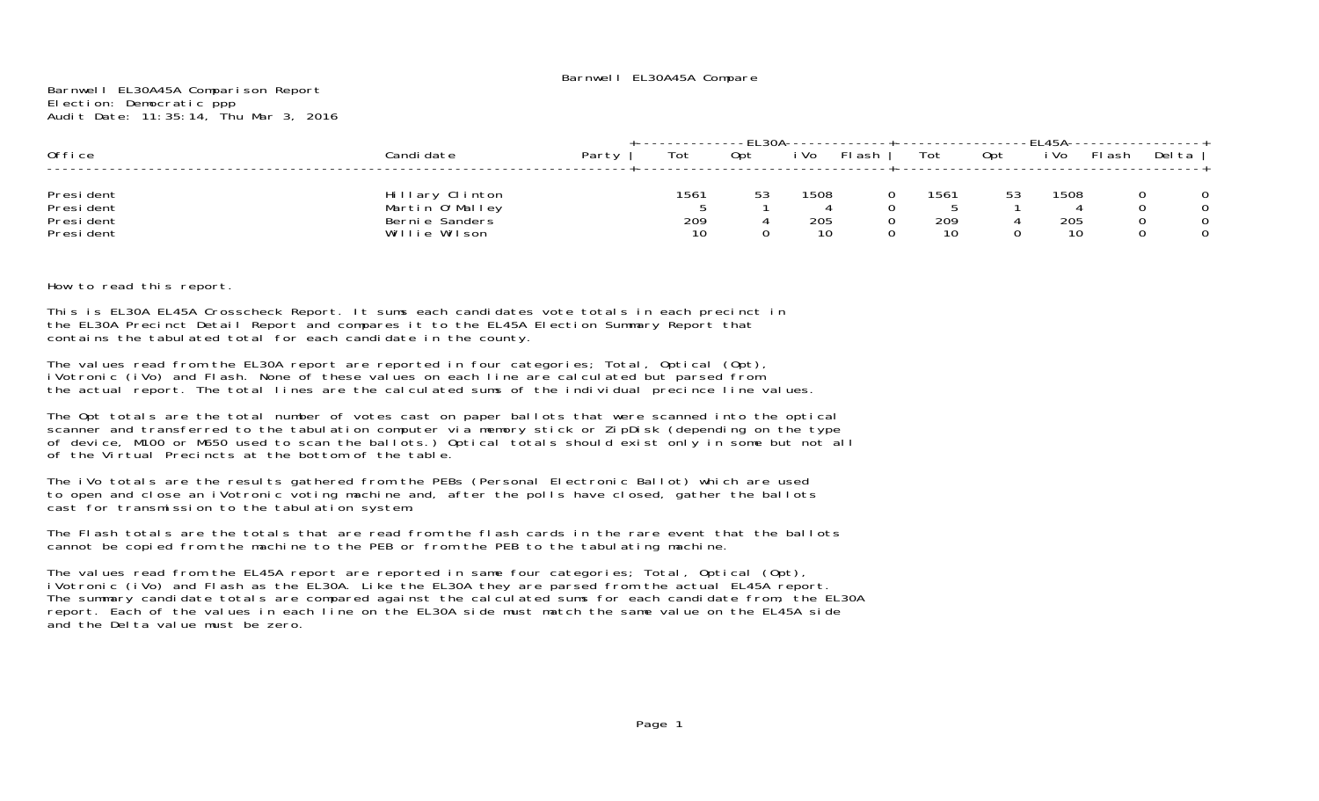Barnwell EL30A45A Comparison Report Election: Democratic ppp Audit Date: 11:35:14, Thu Mar 3, 2016

| Office                                              | Candi date                                                            | Party | Tot               | Opt | i Vo              | FI ash | Tot               | 0pt | i Vo              | FI ash | Del ta |
|-----------------------------------------------------|-----------------------------------------------------------------------|-------|-------------------|-----|-------------------|--------|-------------------|-----|-------------------|--------|--------|
| President<br>Presi dent<br>Presi dent<br>Presi dent | Hillary Clinton<br>Martin O'Malley<br>Bernie Sanders<br>Willie Wilson |       | 1561<br>209<br>10 | 53  | 1508<br>205<br>10 |        | 1561<br>209<br>10 | 53  | 1508<br>205<br>10 |        |        |

How to read this report.

This is EL30A EL45A Crosscheck Report. It sums each candidates vote totals in each precinct in the EL30A Precinct Detail Report and compares it to the EL45A Election Summary Report that contains the tabulated total for each candidate in the county.

The values read from the EL30A report are reported in four categories; Total, Optical (Opt), iVotronic (iVo) and Flash. None of these values on each line are calculated but parsed from the actual report. The total lines are the calculated sums of the individual precince line values.

The Opt totals are the total number of votes cast on paper ballots that were scanned into the optical scanner and transferred to the tabulation computer via memory stick or ZipDisk (depending on the type of device, M100 or M650 used to scan the ballots.) Optical totals should exist only in some but not all of the Virtual Precincts at the bottom of the table.

The iVo totals are the results gathered from the PEBs (Personal Electronic Ballot) which are used to open and close an iVotronic voting machine and, after the polls have closed, gather the ballots cast for transmission to the tabulation system.

The Flash totals are the totals that are read from the flash cards in the rare event that the ballotscannot be copied from the machine to the PEB or from the PEB to the tabulating machine.

The values read from the EL45A report are reported in same four categories; Total, Optical (Opt), iVotronic (iVo) and Flash as the EL30A. Like the EL30A they are parsed from the actual EL45A report. The summary candidate totals are compared against the calculated sums for each candidate from, the EL30A report. Each of the values in each line on the EL30A side must match the same value on the EL45A side and the Delta value must be zero.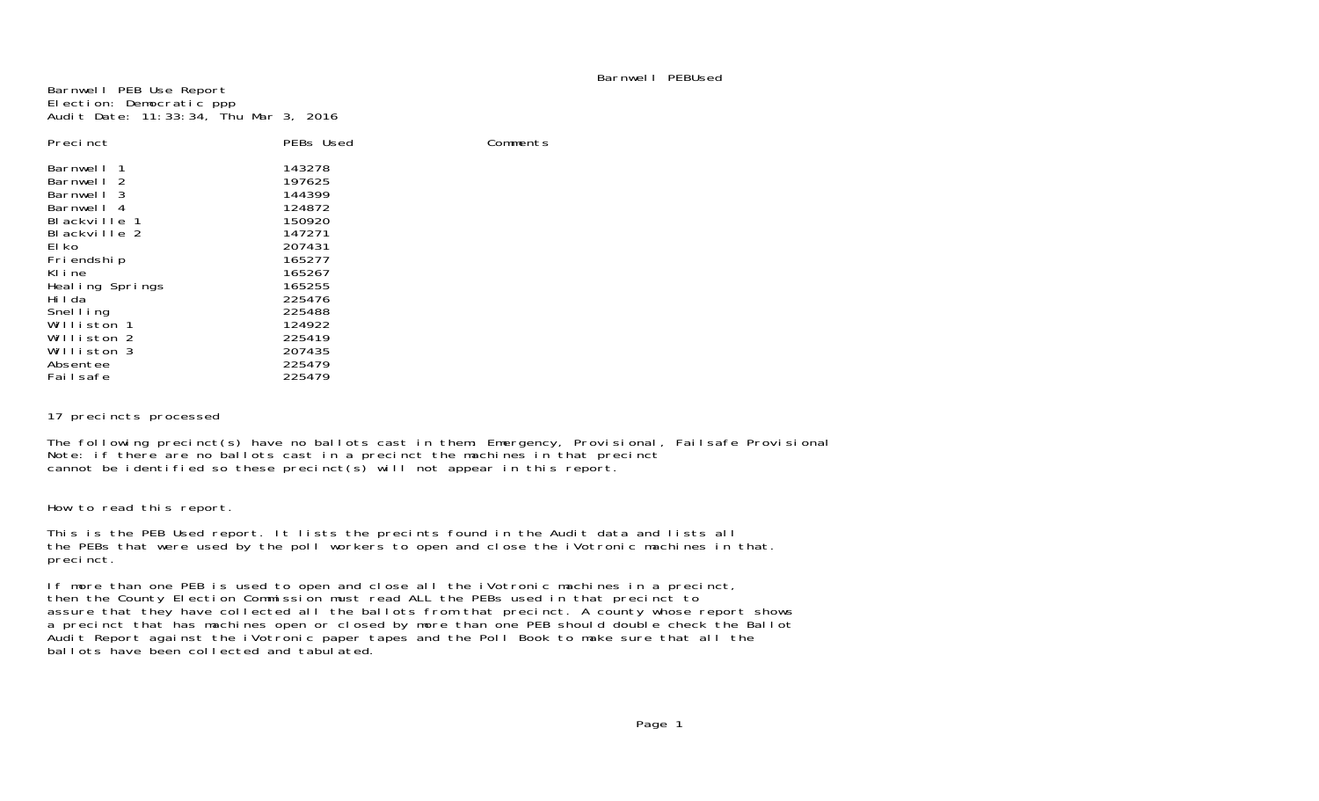# Barnwell PEBUsed

Barnwell PEB Use Report Election: Democratic ppp Audit Date: 11:33:34, Thu Mar 3, 2016

| Precinct                   | PEBs Used | Comments |
|----------------------------|-----------|----------|
| Barnwell<br>$\overline{1}$ | 143278    |          |
| Barnwell 2                 | 197625    |          |
| Barnwell 3                 | 144399    |          |
| Barnwell 4                 | 124872    |          |
| Blackville 1               | 150920    |          |
| Blackville 2               | 147271    |          |
| El ko                      | 207431    |          |
| Fri endshi p               | 165277    |          |
| Kline                      | 165267    |          |
| Healing Springs            | 165255    |          |
| Hilda                      | 225476    |          |
| Snelling                   | 225488    |          |
| Williston 1                | 124922    |          |
| Williston 2                | 225419    |          |
| Williston 3                | 207435    |          |
| Absentee                   | 225479    |          |
| Failsafe                   | 225479    |          |

## 17 precincts processed

The following precinct(s) have no ballots cast in them: Emergency, Provisional, Failsafe Provisional Note: if there are no ballots cast in a precinct the machines in that precinct cannot be identified so these precinct(s) will not appear in this report.

How to read this report.

This is the PEB Used report. It lists the precints found in the Audit data and lists all the PEBs that were used by the poll workers to open and close the iVotronic machines in that. precinct.

If more than one PEB is used to open and close all the iVotronic machines in a precinct, then the County Election Commission must read ALL the PEBs used in that precinct to assure that they have collected all the ballots from that precinct. A county whose report shows a precinct that has machines open or closed by more than one PEB should double check the Ballot Audit Report against the iVotronic paper tapes and the Poll Book to make sure that all the ballots have been collected and tabulated.